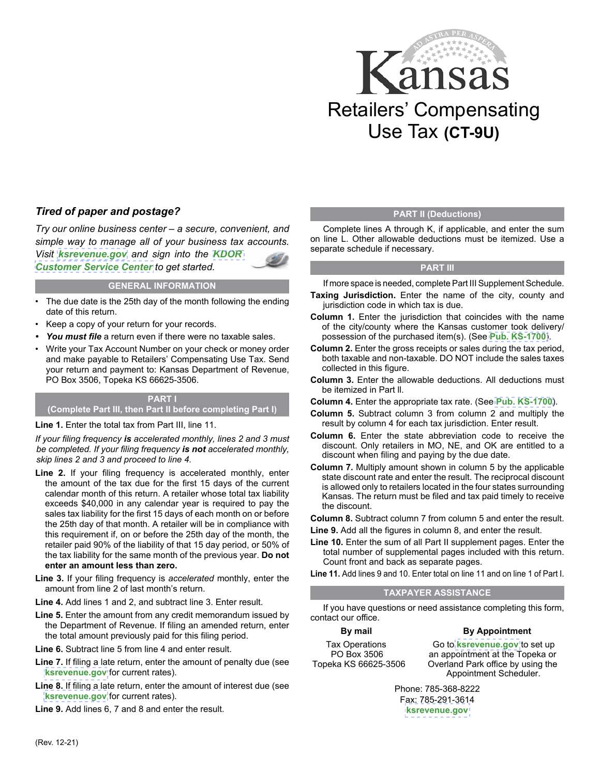

### *Tired of paper and postage?*

*Try our online business center – a secure, convenient, and simple way to manage all of your business tax accounts. Visit [ksrevenue.gov](https://www.ksrevenue.gov) and sign into the [KDOR](https://www.kdor.ks.gov/Apps/kcsc/login.aspx)  [Customer Service Center](https://www.kdor.ks.gov/Apps/kcsc/login.aspx) to get started.*

### **GENERAL INFORMATION**

- The due date is the 25th day of the month following the ending date of this return.
- Keep a copy of your return for your records.
- *You must file* a return even if there were no taxable sales.
- Write your Tax Account Number on your check or money order and make payable to Retailers' Compensating Use Tax. Send your return and payment to: Kansas Department of Revenue, PO Box 3506, Topeka KS 66625-3506.

### **PART I (Complete Part III, then Part II before completing Part I)**

**Line 1.** Enter the total tax from Part III, line 11.

*If your filing frequency is accelerated monthly, lines 2 and 3 must be completed. If your filing frequency is not accelerated monthly, skip lines 2 and 3 and proceed to line 4.*

- **Line 2.** If your filing frequency is accelerated monthly, enter the amount of the tax due for the first 15 days of the current calendar month of this return. A retailer whose total tax liability exceeds \$40,000 in any calendar year is required to pay the sales tax liability for the first 15 days of each month on or before the 25th day of that month. A retailer will be in compliance with this requirement if, on or before the 25th day of the month, the retailer paid 90% of the liability of that 15 day period, or 50% of the tax liability for the same month of the previous year. **Do not enter an amount less than zero.**
- **Line 3.** If your filing frequency is *accelerated* monthly, enter the amount from line 2 of last month's return.
- **Line 4.** Add lines 1 and 2, and subtract line 3. Enter result.
- **Line 5.** Enter the amount from any credit memorandum issued by the Department of Revenue. If filing an amended return, enter the total amount previously paid for this filing period.
- **Line 6.** Subtract line 5 from line 4 and enter result.
- **Line 7.** If filing a late return, enter the amount of penalty due (see **[ksrevenue.gov](https://www.ksrevenue.gov/pandi.html)** for current rates).
- **Line 8.** If filing a late return, enter the amount of interest due (see **[ksrevenue.gov](https://www.ksrevenue.gov/pandi.html)** for current rates).
- **Line 9.** Add lines 6, 7 and 8 and enter the result.

### **PART II (Deductions)**

Complete lines A through K, if applicable, and enter the sum on line L. Other allowable deductions must be itemized. Use a separate schedule if necessary.

### **PART III**

If more space is needed, complete Part III Supplement Schedule.

- **Taxing Jurisdiction.** Enter the name of the city, county and jurisdiction code in which tax is due.
- **Column 1.** Enter the jurisdiction that coincides with the name of the city/county where the Kansas customer took delivery/ possession of the purchased item(s). (See **[Pub. KS-1700](https://www.ksrevenue.gov/salesratechanges.html)**).
- **Column 2.** Enter the gross receipts or sales during the tax period, both taxable and non-taxable. DO NOT include the sales taxes collected in this figure.
- **Column 3.** Enter the allowable deductions. All deductions must be itemized in Part ll.
- **Column 4.** Enter the appropriate tax rate. (See **[Pub. KS-1700](https://www.ksrevenue.gov/salesratechanges.html)**).
- **Column 5.** Subtract column 3 from column 2 and multiply the result by column 4 for each tax jurisdiction. Enter result.
- **Column 6.** Enter the state abbreviation code to receive the discount. Only retailers in MO, NE, and OK are entitled to a discount when filing and paying by the due date.
- **Column 7.** Multiply amount shown in column 5 by the applicable state discount rate and enter the result. The reciprocal discount is allowed only to retailers located in the four states surrounding Kansas. The return must be filed and tax paid timely to receive the discount.

**Column 8.** Subtract column 7 from column 5 and enter the result.

- **Line 9.** Add all the figures in column 8, and enter the result.
- **Line 10.** Enter the sum of all Part II supplement pages. Enter the total number of supplemental pages included with this return. Count front and back as separate pages.

### **TAXPAYER ASSISTANCE**

If you have questions or need assistance completing this form, contact our office.

### **By mail**

#### **By Appointment**

Tax Operations PO Box 3506 Topeka KS 66625-3506

Go to **[ksrevenue.gov](https://www.kdor.ks.gov/Apps/AppointmentScheduler/ApptSchedule/Times?locType=TAX)** to set up an appointment at the Topeka or Overland Park office by using the Appointment Scheduler.

Phone: 785-368-8222 Fax: 785-291-3614 **[ksrevenue.gov](https://www.ksrevenue.gov/taxbuscontact.html)**

**Line 11.** Add lines 9 and 10. Enter total on line 11 and on line 1 of Part I.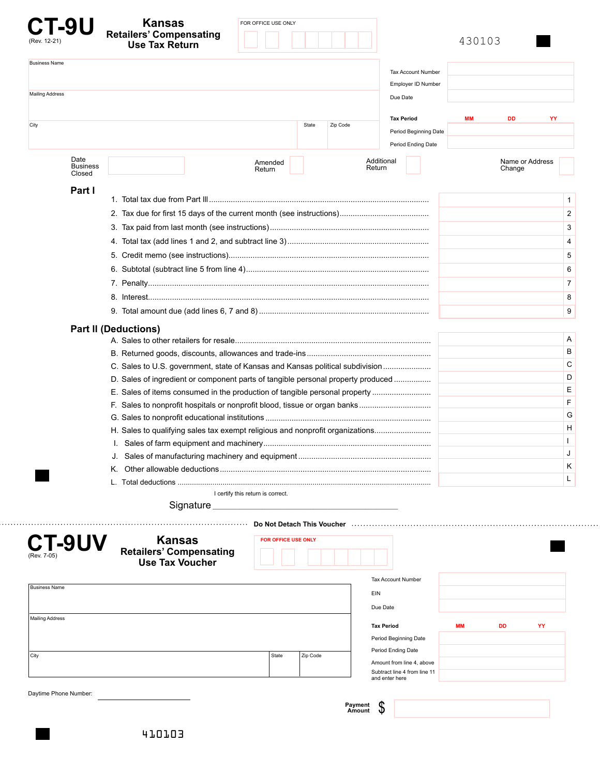| <b>-9U</b><br>(Rev. 12-21)        | <b>Kansas</b><br><b>Retailers' Compensating</b><br><b>Use Tax Return</b> | FOR OFFICE USE ONLY                                                              |                                                           | 430103                    |                |
|-----------------------------------|--------------------------------------------------------------------------|----------------------------------------------------------------------------------|-----------------------------------------------------------|---------------------------|----------------|
| <b>Business Name</b>              |                                                                          |                                                                                  | <b>Tax Account Number</b><br>Employer ID Number           |                           |                |
| <b>Mailing Address</b>            |                                                                          |                                                                                  | Due Date                                                  |                           |                |
|                                   |                                                                          |                                                                                  |                                                           |                           |                |
| City                              |                                                                          | Zip Code<br>State                                                                | <b>Tax Period</b>                                         | <b>MM</b><br>DD           | YY             |
|                                   |                                                                          |                                                                                  | Period Beginning Date                                     |                           |                |
|                                   |                                                                          |                                                                                  | Period Ending Date                                        |                           |                |
| Date<br><b>Business</b><br>Closed |                                                                          | Amended<br>Return                                                                | Additional<br>Return                                      | Name or Address<br>Change |                |
| Part I                            |                                                                          |                                                                                  |                                                           |                           |                |
|                                   |                                                                          |                                                                                  |                                                           |                           | 1              |
|                                   |                                                                          |                                                                                  |                                                           |                           | 2              |
|                                   |                                                                          |                                                                                  |                                                           |                           | 3              |
|                                   |                                                                          |                                                                                  |                                                           |                           | 4              |
|                                   |                                                                          |                                                                                  |                                                           |                           | 5              |
|                                   |                                                                          |                                                                                  |                                                           |                           | 6              |
|                                   |                                                                          |                                                                                  |                                                           |                           | $\overline{7}$ |
|                                   |                                                                          |                                                                                  |                                                           |                           | 8              |
|                                   |                                                                          |                                                                                  |                                                           |                           | 9              |
|                                   | <b>Part II (Deductions)</b>                                              |                                                                                  |                                                           |                           |                |
|                                   |                                                                          |                                                                                  |                                                           |                           | Α              |
|                                   |                                                                          |                                                                                  |                                                           |                           | В              |
|                                   |                                                                          | C. Sales to U.S. government, state of Kansas and Kansas political subdivision    |                                                           |                           | С              |
|                                   |                                                                          | D. Sales of ingredient or component parts of tangible personal property produced |                                                           |                           | D              |
|                                   |                                                                          | E. Sales of items consumed in the production of tangible personal property       |                                                           |                           | Е              |
|                                   |                                                                          | F. Sales to nonprofit hospitals or nonprofit blood, tissue or organ banks        |                                                           |                           | F              |
|                                   |                                                                          |                                                                                  |                                                           |                           | G              |
|                                   |                                                                          | H. Sales to qualifying sales tax exempt religious and nonprofit organizations    |                                                           |                           | н              |
|                                   |                                                                          |                                                                                  |                                                           |                           |                |
|                                   |                                                                          |                                                                                  |                                                           |                           |                |
|                                   |                                                                          |                                                                                  |                                                           |                           | κ              |
|                                   |                                                                          |                                                                                  |                                                           |                           | L              |
|                                   |                                                                          | I certify this return is correct.                                                |                                                           |                           |                |
|                                   |                                                                          | Signature Signature Signature Communications                                     |                                                           |                           |                |
|                                   |                                                                          |                                                                                  |                                                           |                           |                |
| CT-9UV                            | <b>Kansas</b><br><b>Retailers' Compensating</b>                          | FOR OFFICE USE ONLY                                                              |                                                           |                           |                |
|                                   | <b>Use Tax Voucher</b>                                                   |                                                                                  |                                                           |                           |                |
|                                   |                                                                          |                                                                                  |                                                           |                           |                |
| <b>Business Name</b>              |                                                                          |                                                                                  | <b>Tax Account Number</b>                                 |                           |                |
|                                   |                                                                          |                                                                                  | EIN                                                       |                           |                |
| <b>Mailing Address</b>            |                                                                          |                                                                                  | Due Date                                                  |                           |                |
|                                   |                                                                          |                                                                                  | <b>Tax Period</b>                                         | <b>MM</b><br>DD           | YY             |
|                                   |                                                                          |                                                                                  | Period Beginning Date                                     |                           |                |
| City                              |                                                                          | State<br>Zip Code                                                                | Period Ending Date                                        |                           |                |
|                                   |                                                                          |                                                                                  | Amount from line 4, above<br>Subtract line 4 from line 11 |                           |                |
|                                   |                                                                          |                                                                                  | and enter here                                            |                           |                |
|                                   |                                                                          |                                                                                  |                                                           |                           |                |

. . . . . . . .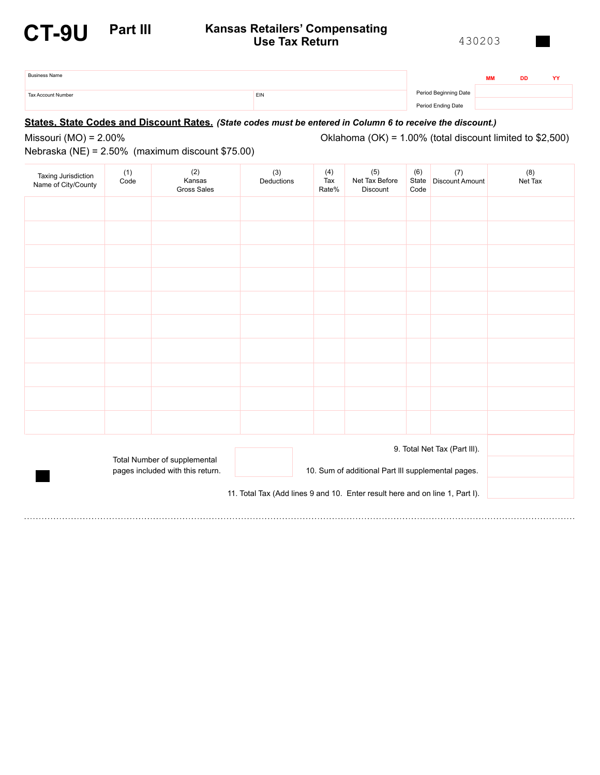## **Part III**

## **CT-9U** <sup>430203</sup> **Kansas Retailers' Compensating Use Tax Return**

| $\cdot$ | 12 | $\cdot$ |
|---------|----|---------|
|         |    |         |

| <b>Business Name</b> |     |                       | <b>MM</b> | DD | $\mathbf{v}$ |
|----------------------|-----|-----------------------|-----------|----|--------------|
| Tax Account Number   | EIN | Period Beginning Date |           |    |              |
|                      |     | Period Ending Date    |           |    |              |

### **States, State Codes and Discount Rates.** *(State codes must be entered in Column 6 to receive the discount.)*

Missouri (MO) = 2.00%

Oklahoma (OK) = 1.00% (total discount limited to \$2,500)

Nebraska (NE) = 2.50% (maximum discount \$75.00)

| Taxing Jurisdiction<br>Name of City/County                                   | (1)<br>Code                                                                                                            | (2)<br>Kansas<br><b>Gross Sales</b> | (3)<br>Deductions | (4)<br>Tax<br>Rate% | (5)<br>Net Tax Before<br>Discount | (6)<br>State<br>Code | (7)<br><b>Discount Amount</b> | (8)<br>Net Tax |
|------------------------------------------------------------------------------|------------------------------------------------------------------------------------------------------------------------|-------------------------------------|-------------------|---------------------|-----------------------------------|----------------------|-------------------------------|----------------|
|                                                                              |                                                                                                                        |                                     |                   |                     |                                   |                      |                               |                |
|                                                                              |                                                                                                                        |                                     |                   |                     |                                   |                      |                               |                |
|                                                                              |                                                                                                                        |                                     |                   |                     |                                   |                      |                               |                |
|                                                                              |                                                                                                                        |                                     |                   |                     |                                   |                      |                               |                |
|                                                                              |                                                                                                                        |                                     |                   |                     |                                   |                      |                               |                |
|                                                                              |                                                                                                                        |                                     |                   |                     |                                   |                      |                               |                |
|                                                                              |                                                                                                                        |                                     |                   |                     |                                   |                      |                               |                |
|                                                                              |                                                                                                                        |                                     |                   |                     |                                   |                      |                               |                |
|                                                                              |                                                                                                                        |                                     |                   |                     |                                   |                      |                               |                |
|                                                                              |                                                                                                                        |                                     |                   |                     |                                   |                      |                               |                |
| 9. Total Net Tax (Part III).                                                 |                                                                                                                        |                                     |                   |                     |                                   |                      |                               |                |
|                                                                              | Total Number of supplemental<br>pages included with this return.<br>10. Sum of additional Part III supplemental pages. |                                     |                   |                     |                                   |                      |                               |                |
| 11. Total Tax (Add lines 9 and 10. Enter result here and on line 1, Part I). |                                                                                                                        |                                     |                   |                     |                                   |                      |                               |                |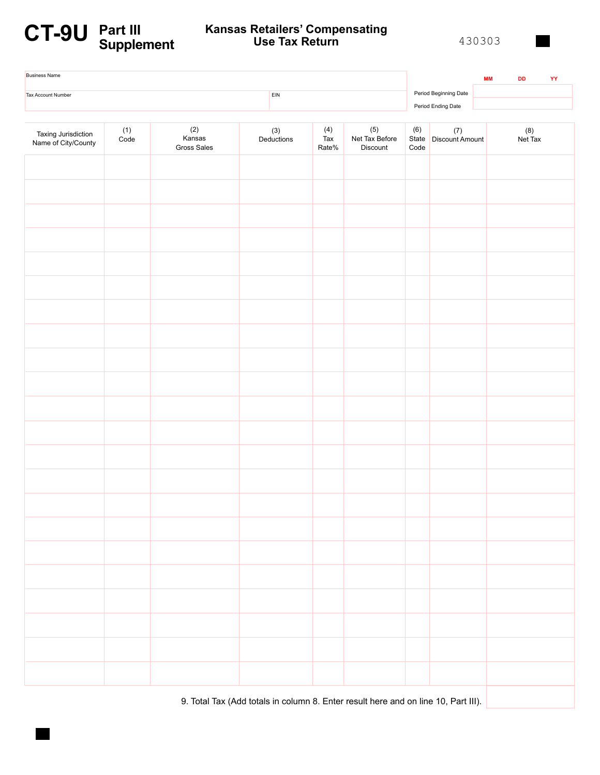# **CT-9U Part III Supplement**

## **Kansas Retailers' Compensating Use Tax Return**

430303

| <b>Business Name</b>                       |               |                              |                         |                                   |                                                                                    |             |                                              | <b>MM</b> | DD             | YY |
|--------------------------------------------|---------------|------------------------------|-------------------------|-----------------------------------|------------------------------------------------------------------------------------|-------------|----------------------------------------------|-----------|----------------|----|
| <b>Tax Account Number</b>                  |               |                              | $\mathsf{E}\mathsf{IN}$ |                                   |                                                                                    |             | Period Beginning Date                        |           |                |    |
|                                            |               |                              |                         |                                   |                                                                                    |             | Period Ending Date                           |           |                |    |
| Taxing Jurisdiction<br>Name of City/County | $(1)$<br>Code | (2)<br>Kansas<br>Gross Sales | $(3)$<br>Deductions     | $\frac{(4)}{\text{Tax}}$<br>Rate% | $(5)$<br>Net Tax Before<br>Discount                                                | (6)<br>Code | $\left( 7\right)$<br>State   Discount Amount |           | (8)<br>Net Tax |    |
|                                            |               |                              |                         |                                   |                                                                                    |             |                                              |           |                |    |
|                                            |               |                              |                         |                                   |                                                                                    |             |                                              |           |                |    |
|                                            |               |                              |                         |                                   |                                                                                    |             |                                              |           |                |    |
|                                            |               |                              |                         |                                   |                                                                                    |             |                                              |           |                |    |
|                                            |               |                              |                         |                                   |                                                                                    |             |                                              |           |                |    |
|                                            |               |                              |                         |                                   |                                                                                    |             |                                              |           |                |    |
|                                            |               |                              |                         |                                   |                                                                                    |             |                                              |           |                |    |
|                                            |               |                              |                         |                                   |                                                                                    |             |                                              |           |                |    |
|                                            |               |                              |                         |                                   |                                                                                    |             |                                              |           |                |    |
|                                            |               |                              |                         |                                   |                                                                                    |             |                                              |           |                |    |
|                                            |               |                              |                         |                                   |                                                                                    |             |                                              |           |                |    |
|                                            |               |                              |                         |                                   |                                                                                    |             |                                              |           |                |    |
|                                            |               |                              |                         |                                   |                                                                                    |             |                                              |           |                |    |
|                                            |               |                              |                         |                                   |                                                                                    |             |                                              |           |                |    |
|                                            |               |                              |                         |                                   |                                                                                    |             |                                              |           |                |    |
|                                            |               |                              |                         |                                   |                                                                                    |             |                                              |           |                |    |
|                                            |               |                              |                         |                                   |                                                                                    |             |                                              |           |                |    |
|                                            |               |                              |                         |                                   |                                                                                    |             |                                              |           |                |    |
|                                            |               |                              |                         |                                   |                                                                                    |             |                                              |           |                |    |
|                                            |               |                              |                         |                                   |                                                                                    |             |                                              |           |                |    |
|                                            |               |                              |                         |                                   |                                                                                    |             |                                              |           |                |    |
|                                            |               |                              |                         |                                   |                                                                                    |             |                                              |           |                |    |
|                                            |               |                              |                         |                                   | 9. Total Tax (Add totals in column 8. Enter result here and on line 10, Part III). |             |                                              |           |                |    |